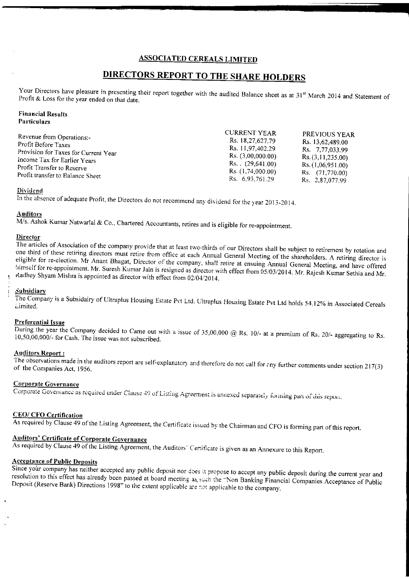# **ASSOCIATED CEREALS LIMITED**

# DIRECTORS REPORT TO THE SHARE HOLDERS

Your Directors have pleasure in presenting their report together with the audited Balance sheet as at 31<sup>st</sup> March 2014 and Statement of<br>Profit & Loss for the year ended on that date. Profit &

#### Financial Results Particulars

#### Dividend

In the absence of adequate Profit, the Directors do not recommend any dividend for the year  $2013$ -2014

#### **Auditors**

M/s. Ashok Kumar Natwarlal & Co., Chartered Accountants, retires and is eligible for re-appointment.

### Director

The articles of Association of the company provide that at least two-thirds of our Directors shall be subject to retirement by rotation and<br>one third of these retiring directors must ratire from effece at such that in Cont one third of these retiring directors must retire from office at each Annual General Meeting of the shareholders. A retiring director is one third of these retiring directors must retire from office at each Annual General Meeting of the shareholders. A retiring director is<br>eligible for re-election. Mr Anant Bhagat, Director of the company, shall retire at e larged for re-effection. Mr Anant Bhagat, Director of the company, shall retire at ensuing Annual General Meeting, and have offered<br>larged for re-appointment. Mr. Suresh Kumar Jain is resigned as director with effect from Aumsen for re-appointment. Mr. Suresh Kumar Jain is resigned as director with effect from 05/03/2014. Mr. Rajesh Kumar Sethia and Mr, rhadhey Shyam Mishra is appointed as director with effect from 02/04/2014.

### **Subsidiarv**

The Company is a Subsidairy of Ultraplus Housing Estate Pvt Ltd. Ultraplus Housing Estate Pvt Ltd holds 54.12% in Associated Cereals<br>Limited.

#### Preferential Issue

During the year the Company decided to Came out with a issue of 35,00,000 @ Rs. 10/- at a premium of Rs. 20/- aggregating to Rs<br>10,50,00,000/- for Cash. The issue was not subscribed. 10,50,00,000/- for Cash. The issue was not subscribed.

#### Auditors Report:

The observations made in the auditors report are self-explanatory and therefore do not call for any further comments under section 217(3) of the Companies Act. 1956.

#### Corporate Governance

Corporate Governance as required under Clause 49 of Listing Agreement is annexed separately forming part of this report.

#### CEO/ CFO Certification

As required by Clause 49 of the Listing Agreement, the Certificate issued by the Chairman and CFO is forming part of this report.

# Auditors' Certificate of Corporate Governance

As required by Clause 49 of the Listing Agreement, the Auditors' Certificate is given as an Annexure to this Report.

Acceptance of Public Deposits<br>Since your company has neither accepted any public deposit nor does it propose to accept any public deposit during the current year and resolutjon Since your company has neither accepted any public deposit nor does it propose to accept any public deposit during the current year and<br>resolution to this effect has already been passed at board meeting as such the "Non Ba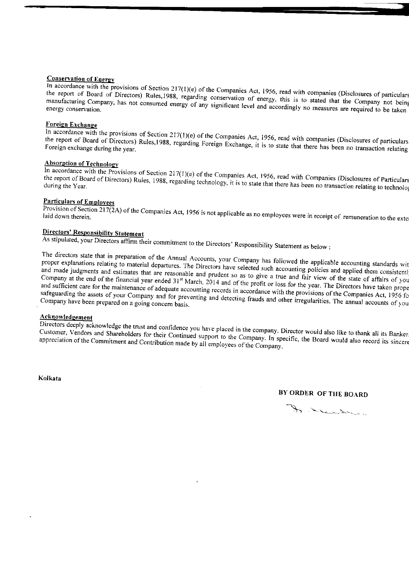### **Conservation of Energy**

In accordance with the provisions of Section 217(1)(e) of the Companies Act, 1956, read with companies (Disclosures of particulars the report of Board of Directors) Rules, 1988, regarding conservation of energy, this is to stated that the Company not being manufacturing Company, has not consumed energy of any significant level and accordingly no measures are required to be taken

#### **Foreign Exchange**

In accordance with the provisions of Section 217(1)(e) of the Companies Act, 1956, read with companies (Disclosures of particulars the report of Board of Directors) Rules, 1988, regarding Foreign Exchange, it is to state that there has been no transaction relating

### **Absorption of Technology**

In accordance with the Provisions of Section 217(1)(e) of the Companies Act, 1956, read with Companies (Disclosures of Particulars the report of Board of Directors) Rules, 1988, regarding technology, it is to state that there has been no transaction relating to technolog

### **Particulars of Employees**

Provision of Section 217(2A) of the Companies Act, 1956 is not applicable as no employees were in receipt of remuneration to the exte

# Directors' Responsibility Statement

As stipulated, your Directors affirm their commitment to the Directors' Responsibility Statement as below :

The directors state that in preparation of the Annual Accounts, your Company has followed the applicable accounting standards wit proper explanations relating to material departures. The Directors have selected such accounting policies and applied them consistentl and made judgments and estimates that are reasonable and prudent so as to give a true and fair view of the state of affairs of you Company at the end of the financial year ended 31<sup>st</sup> March, 2014 and of the profit or loss for the year. The Directors have taken prope and sufficient care for the maintenance of adequate accounting records in accordance with the provisions of the Companies Act, 1956 fo safeguarding the assets of your Company and for preventing and detecting frauds and other irregularities. The annual accounts of you Company have been prepared on a going concern basis.

# Acknowledgement

Directors deeply acknowledge the trust and confidence you have placed in the company. Director would also like to thank all its Banker Customer, Vendors and Shareholders for their Continued support to the Company. In specific, the Board would also record its sincere appreciation of the Commitment and Contribution made by all employees of the Company.

Kolkata

BY ORDER OF THE BOARD

مستملين والمتدرد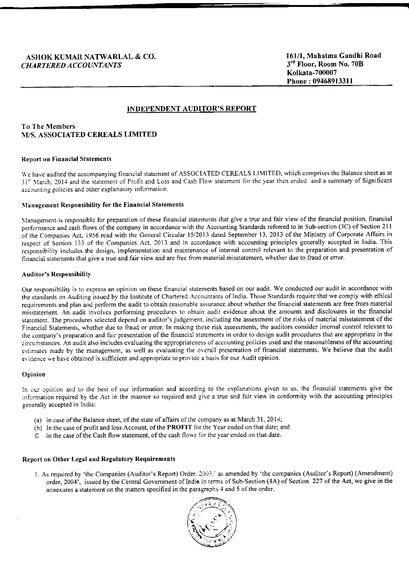# ASHOK KUMAR NATWARLAL & CO. CH4RTERED ACCOUNTANTS

161/1, Mahatma Gandhi Road  $3<sup>rd</sup>$  Floor, Room No. 70B Kolkata-700007 Phone : 09468913311

### INDEPENDENT AUDITOR'S REPORT

# To The Members }1/S. ASSOCIATED CEREALS LIMITED

#### Report on Financial Statements

We have audited the accompanying financial statement of ASSOCIATED CEREALS LIMITED, which comprises the Balance sheet as at 31<sup>st</sup> March, 2014 and the statement of Profit and Loss and Cash Flow statement for the year then ended and a summary of Significant acccunting policies and other explanatory information.

#### Management Responsibility for the Financial Statements

\lanagement is responsible for preparation ofthese financial statements that give a true and fair view ofthe financial position, financial performance and cash flows of the company in accordance with the Accounting Standards referred to in Sub-section (3C) of Section 211 ofrhe Companies Act, 1956 read with the General Circular l512013 dated September 13, 2013 ofthe Ministry of Corporate Affairs in respect of Section 133 of the Companies Act, 2013 and in accordance with accounting principles generally accepted in India. This responsibility includes the design, implementation and maintenance of internal control relevant to the preparation and presentation of financial statements that give a true and fair view and are free from material misstatement, whether due to fraud or error.

#### Auditor's Responsibility

Our responsibility is to express an opinion on these financial statements based on our audit. We conducted our audit in accordance with the standards on Auditing issued by the Institute of Chartered Accountants of lndia. Those Standards require that we comply with ethioal requirements and plan and perform the audit to obtain reasonable assurance about whether the financial statements are free from material misstatement. An audit involves performing procedures to obtain audit evidence about the amounts and disclosures in the financial statement. The procedures selected depend on auditor's judgement, including the assessment of the risks of material misstatement of the Financial Statements, whether due to fraud or error. In making those risk assessments, the auditors consider intemal control relevant to the company's preparation and fair presentation of the financial statements in order to design audit procedures that are appropriate in the circumstances. An audit also includes evaluating the appropriateness of accounting policies used and the reasonableness of the accounting estimates made by the management, as well as evaluating the overall presentation of financial statements. We believe that the audit evidence we have obtained is sufficient and appropriate to provide a basis for our Audit opinion.

#### Opinion

In our opinion and to the best of our information and according to the explanations given to us, the financial statements give the informarion required by the Act in the manner so required and give a true and fair view in conformity with the accounting principles generally accepted in India:

- (a) in case of the Balance sheet, of the state of affairs of the company as at March 31, 2014;
- (b) In the case of profit and loss Account, of the PROFIT for the Year ended on that date; and
- $\heartsuit$  in the case of the Cash flow statement, of the cash flows for the year ended on that date.

#### Report on Other Legal and Regulatory Requirements

1. As required by 'the Companies (Auditor's Report) Order, 2003.' as amended by 'the companies (Auditor's Report) (Amendment) order, 2004', issued by the Central Government of India in terms of Sub-Section (4A) of Section 227 of the Act, we give in the annexures a statement on the matters specified in the paragraphs 4 and 5 of the order.

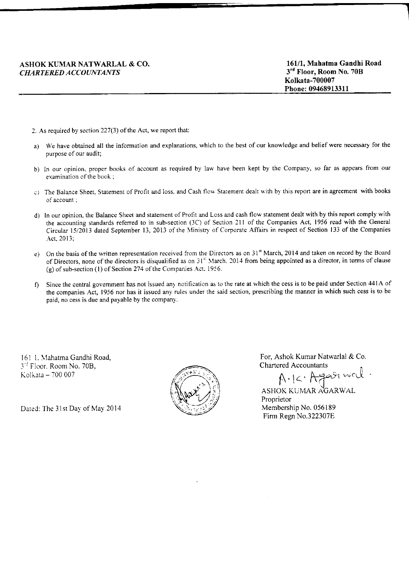# ASHOK KUMAR NATWARLAL & CO. CHARTERED ACCOUNTANTS

161/1, Mahatma Gandhi Road  $3<sup>rd</sup>$  Floor, Room No. 70B Kolkata-700007 Phone:09468913311

- 2. As required by section  $227(3)$  of the Act, we report that:
- a) We have obtained all the information and explanations, which to the best of our knowledge and belief were necessary for the purpose of our audit;
- b) In our opinion, proper books of account as required by law have been kept by the Company, so far as appears from our examination of the book ;
- c) The Balance Sheet. Statement of Profit and loss, and Cash flow Statement dealt with by this report are in agreement with books of account :
- d) In our opinion, the Balance Sheet and statement of Profit and Loss and cash flow statement dealt with by this report comply with the accounting standards referred to in sub-section (3C) of Section 211 of the Companies Act, 1956 read with the General Circular 15/2013 dated September 13, 2013 of the Ministry of Corporate Affairs in respect of Section 133 of the Companies Act,20l3;
- e) On the basis of the written representation received from the Directors as on 31<sup>st</sup> March, 2014 and taken on record by the Board of Directors, none of the directors is disqualified as on  $31<sup>8</sup>$  March, 2014 from being appointed as a director, in terms of clause (g) of sub-section (1) of Section 274 of the Companies Act, 1956.
- f) Since the central government has not issued any notification as to the rate at which the cess is to be paid under Section 441A of the companies Act, 1956 nor has it issued any rules under the said section, prescribing the manner in which such cess is to be paid, no cess is due and payable by the company.

 $3^{rd}$  Floor. Room No. 70B, Kolkata - 700 007

161 1. Mahatma Gandhi Road, and a subset of the state of the For, Ashok Kumar Natwarlal & Co. Chartered Accountants

R. K. Assassivel

ASHOK KUMAR AGARWAL Proprietor Membership No. 056189 Firm Regn No.322307E

Dated: The 31st Day of May 2014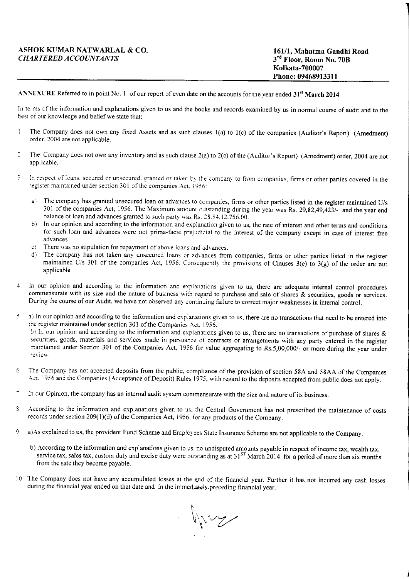| ASHOK KUMAR NATWARLAL & CO.<br><b>CHARTERED ACCOUNTANTS</b> | 161/1, Mahatma Gandhi Road<br>3 <sup>rd</sup> Floor, Room No. 70B |
|-------------------------------------------------------------|-------------------------------------------------------------------|
|                                                             | Kolkata-700007                                                    |
|                                                             | Phone: 09468913311                                                |

ANNEXURE Referred to in point No. 1 of our report of even date on the accounts for the year ended  $31<sup>st</sup>$  March 2014

ln terrns of the information and explanations given to us and the books and records examined by us in normal course of audit and to the best of our knowledge and belief we state that:

- 1 The Company does not own any fixed Assets and as such clauses 1(a) to 1(c) of the companies (Auditor's Report) (Amedment) order, 2004 are not applicable.
- <sup>2</sup> The Company does not own any inventory and as such clause 2(a) to 2(c) of the (Auditor's Report) (Amedment) order, 2004 are not applicable.
- 3 In respect of loans, secured or unsecured, granted or taken by the company to from companies, firms or other parties covered in the register maintained under section 301 of the companies Act, 1956:
	- The company has granted unsecured loan or advances to companies, firms or other parties listed in the register maintained U/s 301 of the companies Act, 1956. The Maximum amount outstanding during the year was Rs. 29,82,49,423/- and the year end balance of loan and advances granted to such party was Rs. 28,54,12,756.00.
	- b) In our opinion and according to the information and explanation given to us, the rate of interest and other terms and conditions for such loan and advances were not prima-facie prejudicial to the interest of the company except in case of interest free advances.
	- There was no stipulation for repayment of above loans and advances.
	- d) The company has not taken any unsecured loans or advances from companies, firms or other parties listed in the register maintained U/s 301 of the companies Act, 1956. Consequently the provisions of Clauses 3(e) to 3(g) of the order are not applicable.
- 4 In our opinion and according to the information and explanations given to us, there are adequate internal control procedures commensurate with its size and the nature of business with regard to purchase and sale of shares & securities, goods or services. During the course of our Audit, we have not observed any continuing failure to correct major weaknesses in internal control,
- 5 a) In our opinion and according to the information and explanations given to us, there are no transactions that need to be entered into the register maintained under section 301 of the Companies Act. 1956.  $b$ ) In our opinion and according to the information and explanations given to us, there are no transactions of purchase of shares  $\&$ securities, goods, materials and services made in pursuance of contracts or arrangements with any party entered in the register :raintained under Section 301 of the Companies Act, 1956 for value aggregating to Rs,5,00,000/- or more during the year under ler ie\*.
- The Company has not accepted deposits from the public, compliance of the provision of section 58A and 58AA of the Companies Act. 1956 and the Companies (Acceptance of Deposit) Rules 1975, with regard to the deposits accept 6
- In our Opinion, the company has an internal audit system commensurate with the size and nature of its business.
- According to the information and explanations given to us. the Central Govemment has not prescribed the maintenance of costs S. records under section 209(1)(d) of the Companies Act, 1956. for any products of the Company.
- a). As explained to us, the provident Fund Scheme and Employees State Insurance Scheme are not applicable to the Company. 9
	- b) According to the information and explanations given to us, no undisputed amounts payable in respect of income tax, wealth tax, service tax, sales tax, custom duty and excise duty were outstanding as at  $31^{ST}$  March 2014 for a period of more than six months from the sate they become payable.
- 10 The Company does not have any accumulated losses at the end of the financial year. Further it has not incurred any cash losses during the financial year ended on that date and in the immediately-preceding financial year.

 $\mathbb{R}$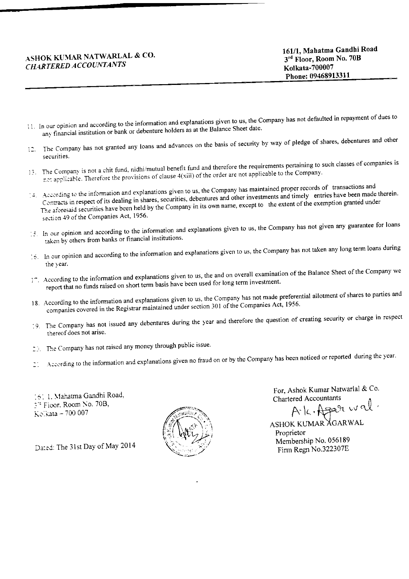# ASHOK KUMAR NATWARLAL & CO. **CHARTERED ACCOUNTANTS**

161/1, Mahatma Gandhi Road 3rd Floor, Room No. 70B Kolkata-700007 Phone: 09468913311

- 11. In our opinion and according to the information and explanations given to us, the Company has not defaulted in repayment of dues to any financial institution or bank or debenture holders as at the Balance Sheet date.
- The Company has not granted any loans and advances on the basis of security by way of pledge of shares, debentures and other in. securities.
- 13. The Company is not a chit fund, nidhi/mutual benefit fund and therefore the requirements pertaining to such classes of companies is not applicable. Therefore the provisions of clause 4(xiii) of the order are not applicable to the Company.
- According to the information and explanations given to us, the Company has maintained proper records of transactions and Contracts in respect of its dealing in shares, securities, debentures and other investments and timely entries have been made therein. The aforesaid securities have been held by the Company in its own name, except to the extent of the exemption granted under section 49 of the Companies Act, 1956.
- i.5. In our opinion and according to the information and explanations given to us, the Company has not given any guarantee for loans taken by others from banks or financial institutions.
- 16. In our opinion and according to the information and explanations given to us, the Company has not taken any long term loans during the year.
- 17. According to the information and explanations given to us, the and on overall examination of the Balance Sheet of the Company we report that no funds raised on short term basis have been used for long term investment.
- 18. According to the information and explanations given to us, the Company has not made preferential allotment of shares to parties and companies covered in the Registrar maintained under section 301 of the Companies Act, 1956.
- 19. The Company has not issued any debentures during the year and therefore the question of creating security or charge in respect thereof does not arise.
- 20. The Company has not raised any money through public issue.
- According to the information and explanations given no fraud on or by the Company has been noticed or reported during the year. żí

1611. Mahatma Gandhi Road, 3<sup>-+</sup> Floor, Room No. 70B, Ko.kata - 700 007



For, Ashok Kumar Natwarlal & Co. **Chartered Accountants** 

 $A$ ·  $k$ · Assert wa

ashok kumar Agarwai Proprietor Membership No. 056189 Firm Regn No.322307E

Dated: The 31st Day of May 2014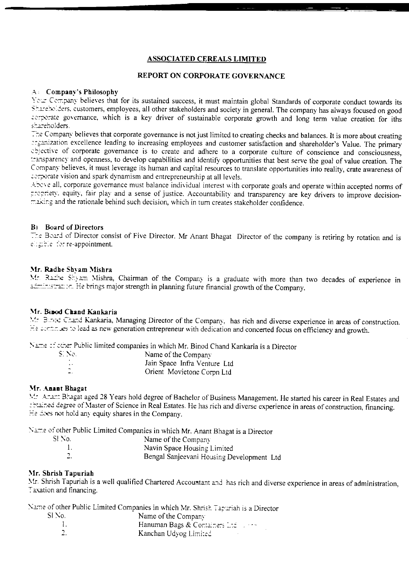# **ASSOCIATED CEREALS LIMITED**

# REPORT ON CORPORATE GOVERNANCE

### **A** Company's Philosophy

Your Company believes that for its sustained success, it must maintain global Standards of corporate conduct towards its Shareholders, customers, employees, all other stakeholders and society in general. The company has always focused on good corporate governance, which is a key driver of sustainable corporate growth and long term value creation for iths shareholders.

The Company believes that corporate governance is not just limited to creating checks and balances. It is more about creating erganization excellence leading to increasing employees and customer satisfaction and shareholder's Value. The primary objective of corporate governance is to create and adhere to a corporate culture of conscience and consciousness, transparency and openness, to develop capabilities and identify opportunities that best serve the goal of value creation. The Company believes, it must leverage its human and capital resources to translate opportunities into reality, crate awareness of corporate vision and spark dynamism and entrepreneurship at all levels.

Above all, corporate governance must balance individual interest with corporate goals and operate within accepted norms of prepriety, equity, fair play and a sense of justice. Accountability and transparency are key drivers to improve decisionmaking and the rationale behind such decision, which in turn creates stakeholder confidence.

# **B** Board of Directors

The Board of Director consist of Five Director. Mr Anant Bhagat Director of the company is retiring by rotation and is eligible for re-appointment.

### Mr. Radhe Shvam Mishra

Mr. Radine Shyam Mishra, Chairman of the Company is a graduate with more than two decades of experience in administration. He brings major strength in planning future financial growth of the Company.

### Mr. Binod Chand Kankaria

Mr. Binne Chand Kankaria, Managing Director of the Company, has rich and diverse experience in areas of construction. He continues to lead as new generation entrepreneur with dedication and concerted focus on efficiency and growth.

Name of other Public limited companies in which Mr. Binod Chand Kankaria is a Director

| S. No.                   | Name of the Company          |
|--------------------------|------------------------------|
| $\bullet$                | Jain Space Infra Venture Ltd |
| $\mathbf{r}$<br>$\sim$ . | Orient Movietone Corpn Ltd   |

### Mr. Anant Bhagat

Mr. Anant Bhagat aged 28 Years hold degree of Bachelor of Business Management. He started his career in Real Estates and chtained degree of Master of Science in Real Estates. He has rich and diverse experience in areas of construction, financing. He does not hold any equity shares in the Company.

Name of other Public Limited Companies in which Mr. Anant Bhagat is a Director

- $SI$  No. Name of the Company
	- $\mathbf{1}$ . Navin Space Housing Limited
	- $\overline{2}$ . Bengal Sanjeevani Housing Development Ltd

# Mr. Shrish Tapuriah

Mr. Shrish Tapuriah is a well qualified Chartered Accountant and has rich and diverse experience in areas of administration, Taxation and financing.

Name of other Public Limited Companies in which Mr. Shrish Tapuriah is a Director

- SI No. Name of the Company
	- $1.$ Hanuman Bags & Containers Ltd 1977-
	- $\overline{2}$ . Kanchan Udyog Limited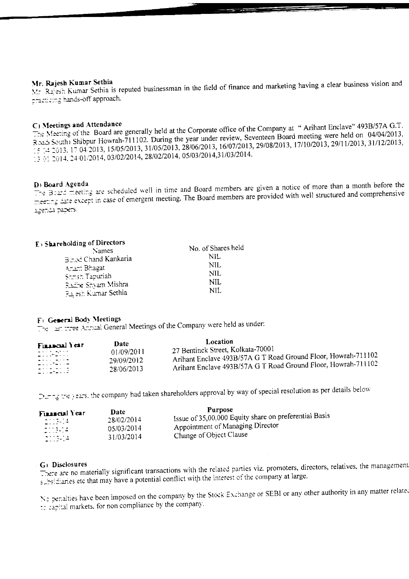# Mr. Rajesh Kumar Sethia

Mr. Rajesh Kumar Sethia is reputed businessman in the field of finance and marketing having a clear business vision and practicing hands-off approach.

# C) Meetings and Attendance

The Meeting of the Board are generally held at the Corporate office of the Company at "Arihant Enclave" 493B/57A G.T. Read South) Shibpur Howrah-711102. During the year under review, Seventeen Board meeting were held on 04/04/2013,  $\frac{1}{15}$   $\frac{1}{2013}$ , 17 04.2013, 15/05/2013, 31/05/2013, 28/06/2013, 16/07/2013, 29/08/2013, 17/10/2013, 29/11/2013, 31/12/2013, 13 01 2014, 24 01/2014, 03/02/2014, 28/02/2014, 05/03/2014, 31/03/2014.

F

The Board meeting are scheduled well in time and Board members are given a notice of more than a month before the the Board members are provided with well structured and comprehensive agenda papers.

| Birled Chand Kankaria<br>Aram Bhagat<br>Strist Tapuriah<br>Radire Shyam Mishra<br>Pillesh Kumar Sethia | NIL<br><b>NIL</b><br>NIL<br>NIL. |
|--------------------------------------------------------------------------------------------------------|----------------------------------|
|--------------------------------------------------------------------------------------------------------|----------------------------------|

# F) General Body Meetings

The 187 The 187 The Annual General Meetings of the Company were held as under:

|                                                                                                                                               | Date       | Location                                                      |
|-----------------------------------------------------------------------------------------------------------------------------------------------|------------|---------------------------------------------------------------|
| Financial Year<br>where the second control                                                                                                    | 01/09/2011 | 27 Bentinck Street, Kolkata-70001                             |
| المستحسن والمناسب<br>$\mathbf{a}_1 = \mathbf{a}_2 \cdot \mathbf{a}_3 \cdot \mathbf{a}_4 = \mathbf{a}_2 \cdot \mathbf{a}_3 \cdot \mathbf{a}_4$ | 29/09/2012 | Arihant Enclave 493B/57A G T Road Ground Floor, Howrah-711102 |
| 22. <del>.</del> <del>.</del>                                                                                                                 | 28/06/2013 | Arihant Enclave 493B/57A G T Road Ground Floor, Howrah-711102 |

During the years, the company had taken shareholders approval by way of special resolution as per details below

| <b>Financial Year</b><br>$2113 - 14$                                                                                               | Date<br>28/02/2014<br>05/03/2014 | <b>Purpose</b><br>Issue of 35,00,000 Equity share on preferential Basis<br>Appointment of Managing Director |
|------------------------------------------------------------------------------------------------------------------------------------|----------------------------------|-------------------------------------------------------------------------------------------------------------|
| 2003-04<br>$\mathbf{a}_1$ , $\mathbf{a}_2$ , $\mathbf{a}_3$ , $\mathbf{a}_4$ , $\mathbf{a}_5$ , $\mathbf{a}_6$<br>المتوارث والمتلا | 31/03/2014                       | Change of Object Clause                                                                                     |

### G) Disclosures

There are no materially significant transactions with the related parties viz. promoters, directors, relatives, the management subsidiaries etc that may have a potential conflict with the interest of the company at large.

No penalties have been imposed on the company by the Stock Exchange or SEBI or any other authority in any matter related to capital markets, for non compliance by the company.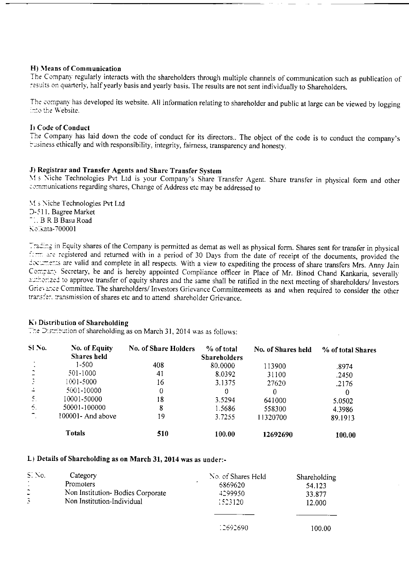### H) Means of Communication

The Company regularly interacts with the shareholders through multiple channels of communication such as publication of results on quarterly, half yearly basis and yearly basis. The results are not sent individually to Shareholders.

The company has developed its website. All information relating to shareholder and public at large can be viewed by logging into the Website.

# **I) Code of Conduct**

The Company has laid down the code of conduct for its directors.. The object of the code is to conduct the company's business ethically and with responsibility, integrity, fairness, transparency and honesty.

# J) Registrar and Transfer Agents and Share Transfer System

M s Niche Technologies Pvt Ltd is your Company's Share Transfer Agent. Share transfer in physical form and other communications regarding shares, Change of Address etc may be addressed to

M 5 Niche Technologies Pvt Ltd D-511. Bagree Market ... B R B Basu Road Kolkata-700001

Trading in Equity shares of the Company is permitted as demat as well as physical form. Shares sent for transfer in physical form are registered and returned with in a period of 30 Days from the date of receipt of the documents, provided the documents are valid and complete in all respects. With a view to expediting the process of share transfers Mrs. Anny Jain Company Secretary, be and is hereby appointed Compliance officer in Place of Mr. Binod Chand Kankaria, severally authorized to approve transfer of equity shares and the same shall be ratified in the next meeting of shareholders/ Investors Grievance Committee. The shareholders/ Investors Grievance Committeemeets as and when required to consider the other transfer. transmission of shares etc and to attend shareholder Grievance.

# K<sub>i</sub> Distribution of Shareholding

The Distribution of shareholding as on March 31, 2014 was as follows:

| <b>SI No.</b> | No. of Equity<br>Shares held | No. of Share Holders | $%$ of total<br><b>Shareholders</b> | No. of Shares held | % of total Shares |
|---------------|------------------------------|----------------------|-------------------------------------|--------------------|-------------------|
|               | $1 - 500$                    | 408                  | 80.0000                             | 113900             | .8974             |
|               | 501-1000                     | 41                   | 8.0392                              | 31100              | .2450             |
|               | 1001-5000                    | 16                   | 3.1375                              | 27620              | .2176             |
|               | 5001-10000                   | 0                    | 0                                   |                    | 0                 |
| 5.            | 10001-50000                  | 18                   | 3.5294                              | 641000             | 5.0502            |
| 6.            | 50001-100000                 | 8                    | 1.5686                              | 558300             | 4.3986            |
|               | 100001- And above            | 19                   | 3.7255                              | 11320700           | 89.1913           |
|               | <b>Totals</b>                | 510                  | 100.00                              | 12692690           | 100.00            |

# L) Details of Shareholding as on March 31, 2014 was as under:-

| S. No.                                          | Category                         | No. of Shares Held   | Shareholding |
|-------------------------------------------------|----------------------------------|----------------------|--------------|
|                                                 | <b>Promoters</b>                 | $\bullet$<br>6369620 | 54.123       |
| $\hat{\phantom{a}}$<br>$\overline{\phantom{0}}$ | Non Institution-Bodies Corporate | 4299950              | 33.877       |
| $\mathfrak{Z}$                                  | Non Institution-Individual       | 1523120              | 12.000       |
|                                                 |                                  |                      |              |
|                                                 |                                  | 12692690             | 100.00       |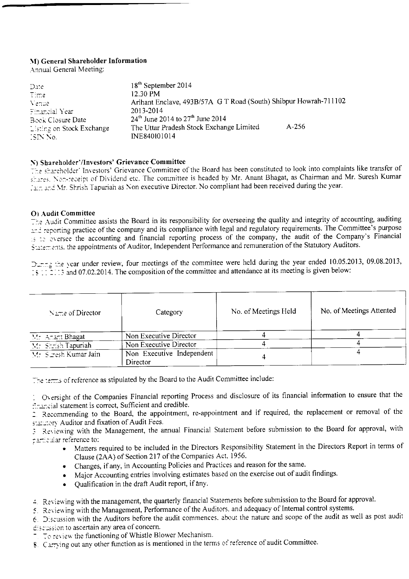# \t) General Shareholder Information

Annual General Meeting:

| Date:                     | 18 <sup>th</sup> September 2014                                  |           |
|---------------------------|------------------------------------------------------------------|-----------|
| Time                      | 12.30 PM                                                         |           |
| Venue                     | Arihant Enclave, 493B/57A G T Road (South) Shibpur Howrah-711102 |           |
| Financial Year            | 2013-2014                                                        |           |
| Book Closure Date         | $24^{th}$ June 2014 to $27^{th}$ June 2014                       |           |
| Listing on Stock Exchange | The Uttar Pradesh Stock Exchange Limited                         | $A - 256$ |
| ISIN No.                  | INE840101014                                                     |           |

# \) Sha reholder'/Investors' Grievance Committee

The shareholder' Investors' Grievance Committee of the Board has been constituted to look into complaints like transfer of shares. Non-receipt of Dividend etc. The committee is headed by Mr. Anant Bhagat, as Chairman and Mr. Suresh Kumar .'ain and Mr. Shrish Tapuriah as Non executive Director. No compliant had been received during the year.

# O) Audit Committee

The Audit Committee assists the Board in its responsibility for overseeing the quality and integrity of accounting, auditing and reporting practice of the company and its compliance with legal and regulatory requirements. The Committee's purpose .: :: ...,enei'the accounting and financial reporting process of the company, the audit of the Company's Financial Statements, the appointments of Auditor, Independent Performance and remuneration of the Statutory Auditors.

During the year under review, four meetings of the committee were held during the year ended 10.05.2013, 09.08.2013, :!.,:..\_: nd 07.02.2014. The composition of the committee and attendance at its meeting is given below:

| Name of Director                 | Category                              | No. of Meetings Held | No. of Meetings Attented |
|----------------------------------|---------------------------------------|----------------------|--------------------------|
| Mr. Anant Bhagat                 | Non Executive Director                |                      |                          |
| Mr. Shrish Tapuriah              | Non Executive Director                |                      |                          |
| $\sqrt{15}$ $\pm$ esh Kumar Jain | Non Executive Independent<br>Director |                      |                          |

The terms of reference as stipulated by the Board to the Audit Committee include:

Oversight of the Companies Financial reporting Process and disclosure of its financial information to ensure that the financial statement is correct, Sufficient and credible.

1. Recommending to the Board, the appointment, re-appointment and if required, the replacement or removal of the statutory Auditor and fixation of Audit Fees.

3. Reviewing with the Management, the annual Financial Statement before submission to the Board for approval, with particular reference to:<br>• Matters

- Matters required to be included in the Directors Responsibility Statement in the Directors Report in terms of Clause (2AA) of Section 217 of the Companies Act, 1956.
- Changes, if any, in Accounting Policies and Practices and reason for the same.
- $\bullet$  Major Accounting entries involving estimates based on the exercise out of audit findings.
- o Qualification in the draft Audit report, ifany.

4. Reviewing with the management, the quarterly financial Statements before submission to the Board for approval.

5. Reviewing with the Management, Performance of the Auditors. and adequacy of Internal control systems.

6. ):scussioi with the Auditors before the audit commences. about the nature and scope of the audit as well as post audit discussion to ascertain any area of concern.

 $\Gamma$ . To review the functioning of Whistle Blower Mechanism.

8. Carrying out any other function as is mentioned in the terms of reference of audit Committee.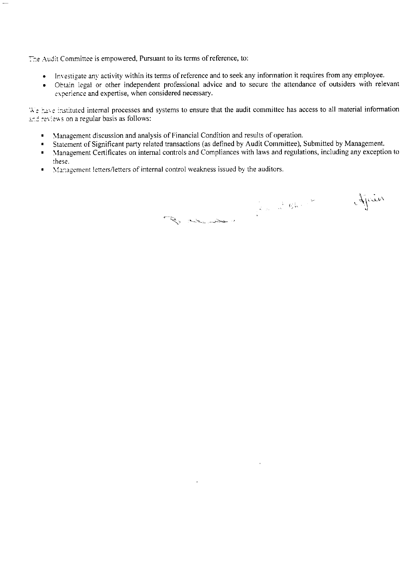The Audit Committee is empowered, Pursuant to its terms of reference, to:

- Investigate any activity within its terms of reference and to seek any information it requires from any employee.
- Obtain legal or other independent professional advice and to secure the attendance of outsiders with relevant  $\bullet$ experience and expertise, when considered necessary.

We have instituted internal processes and systems to ensure that the audit committee has access to all material information and reviews on a regular basis as follows:

- Management discussion and analysis of Financial Condition and results of operation.  $\mathbf{u}$  .
- Statement of Significant party related transactions (as defined by Audit Committee), Submitted by Management.  $\blacksquare$
- Management Certificates on internal controls and Compliances with laws and regulations, including any exception to these.
- Management letters/letters of internal control weakness issued by the auditors.  $\blacksquare$

Jein and the of

 $\bar{1}$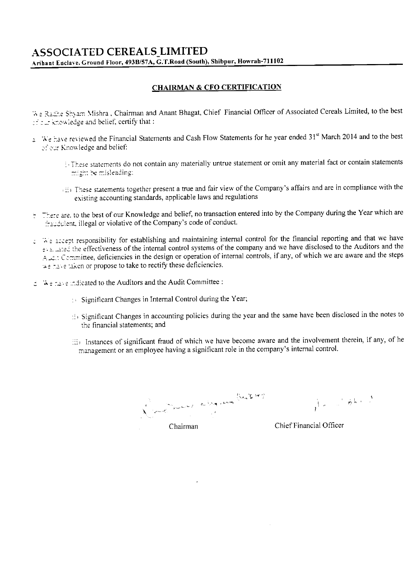# **ASSOCIATED CEREALS LIMITED** Arihant Enclave, Ground Floor, 493B/57A, G.T.Road (South), Shibpur, Howrah-711102

# **CHAIRMAN & CFO CERTIFICATION**

We Radhe Shyam Mishra, Chairman and Anant Bhagat, Chief Financial Officer of Associated Cereals Limited, to the best of our knowledge and belief, certify that :

- We have reviewed the Financial Statements and Cash Flow Statements for he year ended 31st March 2014 and to the best  $\mathbb R$ of our Knowledge and belief:
	- : These statements do not contain any materially untrue statement or omit any material fact or contain statements might be misleading:
	- (E) These statements together present a true and fair view of the Company's affairs and are in compliance with the existing accounting standards, applicable laws and regulations
- There are, to the best of our Knowledge and belief, no transaction entered into by the Company during the Year which are fraudulent, illegal or violative of the Company's code of conduct.
- We accept responsibility for establishing and maintaining internal control for the financial reporting and that we have the effectiveness of the internal control systems of the company and we have disclosed to the Auditors and the Committee, deficiencies in the design or operation of internal controls, if any, of which we are aware and the steps we have taken or propose to take to rectify these deficiencies.
- d We have indicated to the Auditors and the Audit Committee :
	- Significant Changes in Internal Control during the Year;
	- :: Significant Changes in accounting policies during the year and the same have been disclosed in the notes to the financial statements; and
	- lii) Instances of significant fraud of which we have become aware and the involvement therein, if any, of he management or an employee having a significant role in the company's internal control.

Remark Elizabeth (in Imp

Jack Block

Chairman

Chief Financial Officer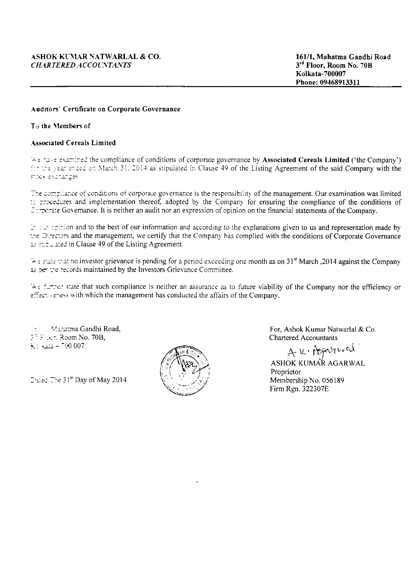# ASHOK KUMAR NATWARLAL & CO. **CHARTERED ACCOUNTANTS**

# Auditors' Certificate on Corporate Governance

To the Members of

# **Associated Cereals Limited**

We have examined the compliance of conditions of corporate governance by Associated Cereals Limited ('the Company') for the year ended on March 31, 2014 as stipulated in Clause 49 of the Listing Agreement of the said Company with the stock exchanges

The compliance of conditions of corporate governance is the responsibility of the management. Our examination was limited to procedures and implementation thereof, adopted by the Company for ensuring the compliance of the conditions of Correcte Governance. It is neither an audit nor an expression of opinion on the financial statements of the Company.

In the cointion and to the best of our information and according to the explanations given to us and representation made by the Directors and the management, we certify that the Company has complied with the conditions of Corporate Governance as sublisted in Clause 49 of the Listing Agreement.

 $\bar{B}$  and investor grievance is pending for a period exceeding one month as on 31<sup>st</sup> March, 2014 against the Company as per the records maintained by the Investors Grievance Committee.

We further state that such compliance is neither an assurance as to future viability of the Company nor the efficiency or effect. eness with which the management has conducted the affairs of the Company.

15111 Mahatma Gandhi Road,  $E^T F$  out. Room No. 70B,  $K: 1222 - 700007$ 

Dured The 31st Day of May 2014



For, Ashok Kumar Natwarlal & Co. **Chartered Accountants** 

A-K-Assessived

ASHOK KUMAR AGARWAL Proprietor Membership No. 056189 Firm Rgn. 322307E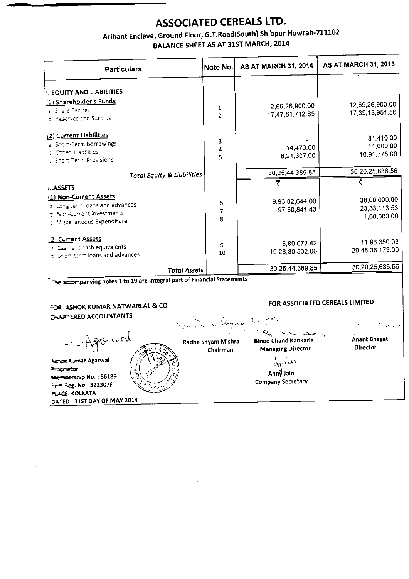Arihant Enclave, Ground Floor, G.T.Road(South) Shibpur Howrah-711102 **BALANCE SHEET AS AT 31ST MARCH, 2014** 

| <b>Particulars</b>                                                       | Note No.                 | <b>AS AT MARCH 31, 2014</b> | <b>AS AT MARCH 31, 2013</b>    |
|--------------------------------------------------------------------------|--------------------------|-----------------------------|--------------------------------|
| <b>I. EQUITY AND LIABILITIES</b>                                         |                          |                             |                                |
| (1) Shareholder's Funds                                                  |                          |                             |                                |
| El Share Capital                                                         | 1                        | 12,69,26,900.00             | 12,69,26,900.00                |
| the section and Surplus                                                  | $\overline{2}$           | 17,47,81,712.85             | 17,39,13,951.56                |
| (2) Current Liabilities                                                  |                          |                             | 81,410.00                      |
| al Short-Term Borrowings                                                 | 3                        | 14,470.00                   | 11,600.00                      |
| = Other Liabilities                                                      | 4<br>5                   | 8,21,307.00                 | 10,91,775.00                   |
| t Shom-Term Provisions                                                   |                          |                             |                                |
| <b>Total Equity &amp; Liabilities</b>                                    |                          | 30,25,44,389.85             | 30,20,25,636.56                |
| <b>ILASSETS</b>                                                          |                          | ₹                           | ₹                              |
| (1) Non-Current Assets                                                   |                          |                             |                                |
| all upngiterm loans and advances                                         | 6                        | 9,93,82,644.00              | 38,00,000.00                   |
| t Non-Current investments                                                | $\overline{\mathcal{L}}$ | 97,50,841.43                | 23,33,113.53                   |
| ti Miscellaneous Expenditure                                             | 8                        |                             | 1,60,000.00                    |
| 2 Current Assets                                                         |                          |                             | 11,96,350.03                   |
| al Cash and cash equivalents                                             | 9                        | 5,80,072.42                 | 29,45,36,173.00                |
| = Short-term loans and advances                                          | 10                       | 19,28,30,832.00             |                                |
| <b>Total Assets</b>                                                      |                          | 30,25,44,389.85             | 30,20,25,636.56                |
| The accompanying notes 1 to 19 are integral part of Financial Statements |                          |                             |                                |
| FOR ASHOK KUMAR NATWARLAL & CO.                                          |                          |                             | FOR ASSOCIATED CEREALS LIMITED |

**CHARTERED ACCOUNTANTS** 

Keephrey Styne (Wern

Sin Demondant C **Binod Chand Kankaria Managing Director** 

 $12 - 1$ 

 $\mathbb{L}_n$ 

**Anant Bhagat** 

**Director** 

que Anny Jain **Company Secretary** 

 $\mathbf{r}$ 

in Agentical Assical Kumar Agarwal

zhat i

**> ponetor** Merspership No.: 56189 =r = Reg. No.: 322307E **PLACE: KOLKATA** DATED: 31ST DAY OF MAY 2014

Radhe Shyam Mishra Chairman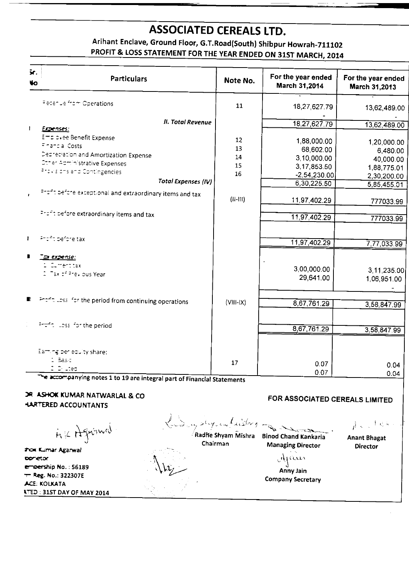# Arihant Enclave, Ground Floor, G.T.Road(South) Shibpur Howrah-711102 PROFIT & LOSS STATEMENT FOR THE YEAR ENDED ON 31ST MARCH, 2014

| Бr.<br><b>Vo</b> | <b>Particulars</b>                                        | Note No.    | For the year ended<br>March 31,2014 | For the year ended<br>March 31,2013 |
|------------------|-----------------------------------------------------------|-------------|-------------------------------------|-------------------------------------|
|                  | Fecence from Operations                                   | 11          | 18,27,627.79                        | 13,62,489.00                        |
| $\mathbf{I}$     | <b>II. Total Revenue</b><br>Expenses:                     |             | 18,27,627.79                        | 13,62,489.00                        |
|                  | E= = 0, ee Benefit Expense                                |             |                                     |                                     |
|                  | Financial Costs                                           | 12          | 1,88,000.00                         | 1,20,000.00                         |
|                  | Deprediation and Amortization Expense                     | 13          | 68,602.00                           | 6,480.00                            |
|                  | Other Administrative Expenses                             | 14          | 3,10,000.00                         | 40,000.00                           |
|                  | Provisions and Contingencies                              | 15          | 3,17,853.50                         | 1,88,775.01                         |
|                  |                                                           | 16          | $-2,54,230.00$                      | 2,30,200.00                         |
|                  | <b>Total Expenses (IV)</b>                                |             | 6,30,225.50                         | $\overline{5,85,455.01}$            |
| ł                | Profit before exceptional and extraordinary items and tax | $(H-HI)$    | 11,97,402.29                        | 777033.99                           |
|                  | Profit before extraordinary items and tax                 |             | 11,97,402.29                        | 777033.99                           |
| ŧ                | Profit before tax                                         |             | 11,97,402.29                        | 7,77,033.99                         |
| R                | <u>a expense:</u>                                         |             |                                     |                                     |
|                  | 1. Cumentitax.<br>2. Tax of Previous Year                 |             | 3,00,000.00<br>29,641.00            | 3,11,235.00<br>1,06,951.00          |
| $\blacksquare$   | and the period from continuing operations                 | $(VIII-IX)$ | 8,67,761.29                         | 3,58,847.99                         |
|                  | Profit Loss for the period                                |             | 8,67,761.29                         | 3,58,847.99                         |
|                  |                                                           |             |                                     |                                     |
|                  | Earting per equity share:<br>1 ಕಿರ್ಮ                      |             |                                     |                                     |
|                  | I D'uted                                                  | 17          | 0.07                                | 0.04                                |
|                  |                                                           |             | 0.07                                | 0.04                                |

# **+ARTERED ACCOUNTANTS**

Decy shy and sisting

Radhe Shyam Mishra Binod Chand Kankaria Chairman

Service of The Service of The War **Managing Director** 

手兒兵  $\lambda \sim$ 

**Anant Bhagat Director** 

Ajau Anny Jain

**Company Secretary** 

Alc Agrinal

**Pox Kumar Agarwal** porietor empership No.: 56189 TT Reg. No.: 322307E ACE: KOLKATA **ATED: 31ST DAY OF MAY 2014**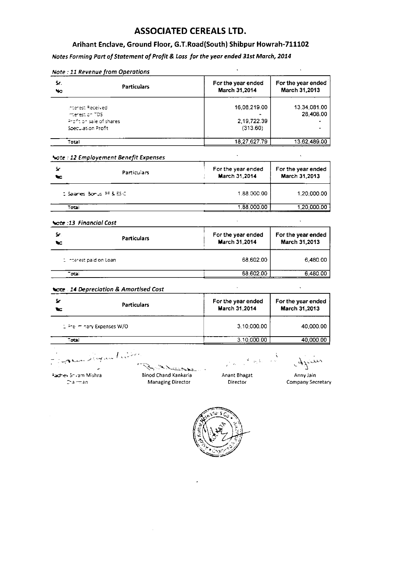# Arihant Enclave, Ground Floor, G.T.Road(South) Shibpur Howrah-711102

Notes Forming Part of Statement of Profit & Loss for the year ended 31st March, 2014

|           | Note: 11 Revenue from Operations                                                        |                                         |                                     |
|-----------|-----------------------------------------------------------------------------------------|-----------------------------------------|-------------------------------------|
| Sr.<br>мc | <b>Particulars</b>                                                                      | For the year ended<br>March 31,2014     | For the year ended<br>March 31,2013 |
|           | interest Received<br>rterestion TDS.<br>Profit on sale of shares.<br>Speculation Profit | 16.08.219.00<br>2 19,722.39<br>(313.60) | 13.34.081.00<br>28,408.00           |
|           | Total                                                                                   | 18 27 627 79                            | 13.62.489.00                        |

Note: 12 Employement Benefit Expenses

| sr<br>æ | <b>Particulars</b>                | For the year ended<br>March 31,2014 | For the year ended<br>March 31,2013 |  |
|---------|-----------------------------------|-------------------------------------|-------------------------------------|--|
|         | <b>1 Saares Bonus PF&amp; ISC</b> | 1.88.000.00                         | 1,20,000.00                         |  |
|         | Total                             | 1.88.000.00                         | 1,20,000.00                         |  |

Note:13 Financial Cost

| Sr.<br>NC. | <b>Particulars</b>        | For the year ended<br>March 31.2014 | For the year ended<br>March 31,2013 |  |
|------------|---------------------------|-------------------------------------|-------------------------------------|--|
|            | tion therest paid on Loan | 68.602.00                           | 6,480.00                            |  |
|            | Totali                    | 68,602.00                           | 6.480.00                            |  |

#### Cce 14 Depreciation & Amortised Cost

| ► | <b>Particulars</b> | For the year ended<br>March 31,2014 | For the year ended<br>March 31,2013 |  |
|---|--------------------|-------------------------------------|-------------------------------------|--|
|   |                    | 3.10.000.00                         | 40,000.00                           |  |
|   | Total              | 3.10.000.00                         | 40,000.00                           |  |

And Shyan Paise

 $\mathbb{R}^2$ Facher Shram Mishra Chairman.

R. Alexandro Binod Chand Kankaria **Managing Director** 

 $\label{eq:2} \frac{1}{\kappa^2\kappa^2\kappa^2}\frac{d}{d\kappa} \frac{d\kappa}{d\kappa} \frac{1}{\kappa^2} \frac{1}{\kappa^2}$ Anant Bhagat Director

 $\ddot{\phantom{1}}$ 

 $\bar{\mathcal{A}}$ 

Anny Jain Company Secretary

 $A$ 

 $\ddot{\phantom{1}}$ 

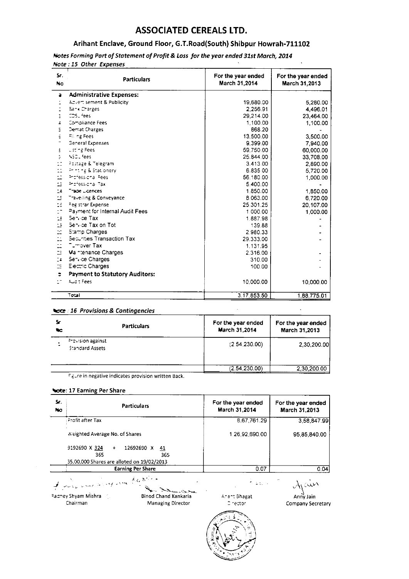# Arihant Enclave, Ground Floor, G.T.Road(South) Shibpur Howrah-711102

Notes Forming Part of Statement of Profit & Loss for the year ended 31st March, 2014 Note: 15 Other Expenses  $\ddot{\phantom{a}}$ 

| Sr.<br>No      | <b>Particulars</b>                    | For the year ended<br>March 31,2014 | For the year ended<br>March 31,2013 |
|----------------|---------------------------------------|-------------------------------------|-------------------------------------|
| a              | <b>Administrative Expenses:</b>       |                                     |                                     |
|                | <b>Advertisement &amp; Publicity</b>  | 19,680.00                           | 5,280.00                            |
|                | Bank Charges                          | 2,256.91                            | 4.496.01                            |
|                | $\mathbb{C}$ . fees                   | 29,214.00                           | 23,464.00                           |
| 1              | <b>Compliance Fees</b>                | 1,100.00                            | 1,100.00                            |
|                | Demat Charges                         | 868.20                              |                                     |
|                | Filling Fees                          | 13.500.00                           | 3,500.00                            |
|                | <b>General Expenses</b>               | 9.399.00                            | 7,940.00                            |
| Ė              | Listing Fees                          | 59.750.00                           | 60,000.00                           |
|                | <b>NSDL fees</b>                      | 25.844.00                           | 33.708.00                           |
|                | Postage & Telegram                    | 3.413.00                            | 2.890.00                            |
|                | Printing & Stationery                 | 6.835.00                            | 5,720.00                            |
|                | Professional Rees                     | 56,180.00                           | 1,000.00                            |
| 13             | Professional Tax                      | 5.400.00                            |                                     |
| $\mathbf{L}$   | Trade Licences                        | 1,850.00                            | 1,850.00                            |
| 15             | Travelling & Conveyance               | 8.063.00                            | 6,720.00                            |
| ÌÍ,            | Feastrar Expense                      | 25.301.25                           | 20,107.00                           |
| $\mathbb{R}^+$ | Payment for Internal Audit Fees       | 1.000.00<br>1,000.00                |                                     |
| $\mathbb{Z}$   | Service Tax                           | 1.887.98                            |                                     |
| Ĺ,             | Service Taxion Tot                    | 139.88                              |                                     |
| t.             | Stamp Charges                         | 2.980.33                            |                                     |
| $\ddot{ }$ :   | Securities Transaction Tax            | 29.333.00                           |                                     |
| $\frac{1}{2}$  | Tumbyer Tax                           | 1.131.95                            |                                     |
| E              | Wa -tenance Charges                   | 2.316.00                            |                                     |
| $\mathbb{Z}^2$ | Service Charges                       | 310.00                              |                                     |
| E              | Electric Charges                      | 100 00                              |                                     |
| $\ddot{ }$     | <b>Payment to Statutory Auditors:</b> |                                     |                                     |
|                | <b>Lot Fees</b>                       | 10,000.00                           | 10,000.00                           |
|                | Total                                 | 3.17,853.50                         | 1,88,775.01                         |

#### **Note: 16 Provisions & Contingencies**

| s<br><b>x</b> | <b>Particulars</b>                          | For the year ended<br>March 31,2014 | For the year ended<br>March 31,2013 |  |
|---------------|---------------------------------------------|-------------------------------------|-------------------------------------|--|
|               | Provision against<br><b>Standard Assets</b> | (2.54, 230.00)                      | 2,30,200.00                         |  |
|               |                                             | (2.54, 230.00)                      | 2,30,200.00                         |  |

Figure in negative indicates provision written Back.

#### **Note: 17 Earning Per Share**

| Sr.<br>No | <b>Particulars</b>                                                                                 | For the year ended<br>March 31,2014 | For the year ended<br>March 31,2013 |
|-----------|----------------------------------------------------------------------------------------------------|-------------------------------------|-------------------------------------|
|           | Profit after Tax                                                                                   | 8.67.761.29                         | 3.58.847.99                         |
|           | Weighted Average No. of Shares                                                                     | 1.26.92.690.00                      | 95,85,840,00                        |
|           | 9192690 X 324<br>12692690 X<br>41<br>÷<br>365<br>365<br>35,00,000 Shares are alloted on 19/02/2013 |                                     |                                     |
|           | <b>Earning Per Share</b>                                                                           | 0.07                                | 0.04                                |

I have any simple

Padney Shyam Mishra

Chairman

سرم فتكتب Binod Chand Kankaria Managing Director

Ahant Bhagat  $2 - \text{ector}$ 

 $\mathcal{A}^{\text{cav}}$ Anny Jain

 $\ddot{\phantom{a}}$ 

Company Secretary



री विषय के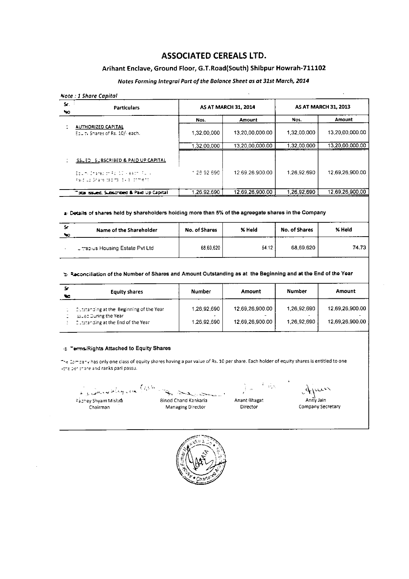# Arihant Enclave, Ground Floor, G.T.Road(South) Shibpur Howrah-711102

### Notes Forming Integral Part of the Balance Sheet as at 31st March, 2014

#### Note: 1 Share Capital

| Sr.<br>No. | <b>Particulars</b>                                                                                                  |             | <b>AS AT MARCH 31, 2014</b> |             | <b>AS AT MARCH 31, 2013</b> |
|------------|---------------------------------------------------------------------------------------------------------------------|-------------|-----------------------------|-------------|-----------------------------|
|            |                                                                                                                     | Nos.        | Amount                      | Nos.        | Amount                      |
|            | <b>AUTHORIZED CAPITAL</b><br>Equity Shares of Rs. 10/- each.                                                        | 1.32.00.000 | 13,20.00,000.00             | 1.32.00.000 | 13.20.00.000.00             |
|            |                                                                                                                     | 1,32,00,000 | 13,20,00,000.00             | 1,32,00,000 | 13.20,00,000.00             |
|            | SSUED: SUBSCRIBED & PAID UP CAPITAL<br>Andrew Thispass on Azil 10 - 4427 (Agil 1<br>Padild Stare dat for the coment | $+2592690$  | 12.69.26.900.00             | 1.26.92.690 | 12 69 26,900 00             |
|            | "stallssued, Subscribed & Paid Up Capital                                                                           | .26.92.690  | 12,69,26,900.00             | 1 26 92 690 | 12 69 26 900 00             |

#### a Details of shares held by shareholders holding more than 5% of the agreegate shares in the Company

| ∾ | Name of the Shareholder               | No. of Shares | % Held | No. of Shares | % Held |
|---|---------------------------------------|---------------|--------|---------------|--------|
|   | <b>Chaples Housing Estate Pvt Ltd</b> | 68.69.620     | 54.12  | 68.69.620     | 74 73  |

#### Leconciliation of the Number of Shares and Amount Outstanding as at the Beginning and at the End of the Year

| ÷ | <b>Equity shares</b>                                                                                    | <b>Number</b>              | Amount                             | Number                     | Amount                             |
|---|---------------------------------------------------------------------------------------------------------|----------------------------|------------------------------------|----------------------------|------------------------------------|
|   | Cutstanding at the Beginning of the Year<br>ssued During the Year<br>Cutstanding at the End of the Year | 1,26,92,690<br>1,26,92,690 | 12.69.26.900.00<br>12,69,26,900.00 | 1.26.92.690<br>1 26 92 690 | 12.69.26,900.00<br>12.69.26.900.00 |

### ·± Terms/Rights Attached to Equity Shares

The Company has only one class of equity shares having a par value of Rs. 10 per share. Each holder of equity shares is entitled to one ktha per share and ranks pari passu.

Lecommunity and Tiple Radhey Shyam Mishra

Chairman

دست ست سيستعدد **Binod Chand Kankaria Managing Director** 

Anant Bhagat Director

 $\Gamma_{\rm pph}$ 

Anny Jain Company Secretary

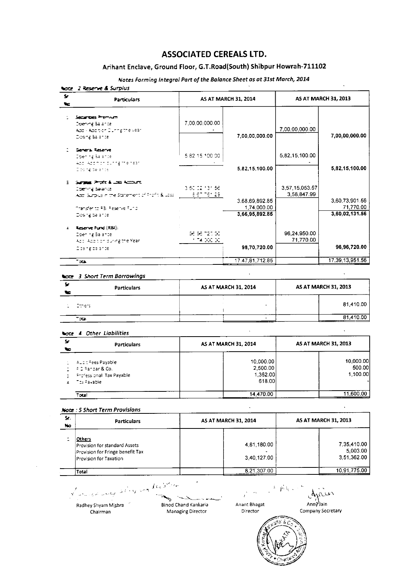# Arihant Enclave, Ground Floor, G.T.Road(South) Shibpur Howrah-711102

# Notes Forming Integral Part of the Balance Sheet as at 31st March, 2014

| s. | <b>Particulars</b>                                 |                | <b>AS AT MARCH 31, 2014</b> |                | AS AT MARCH 31, 2013 |
|----|----------------------------------------------------|----------------|-----------------------------|----------------|----------------------|
| œ  |                                                    |                |                             |                |                      |
|    | Securities Premium                                 |                |                             |                |                      |
|    | Opening Balance                                    | 7,00,00,000.00 |                             |                |                      |
|    | Appli-Approx During the year.                      |                |                             | 7,00,00,000.00 |                      |
|    | Opsing Balance,                                    |                | 7,00,00,000.00              |                | 7,00,00,000.00       |
|    | Seneral Reserve                                    |                |                             |                |                      |
|    | Opening Balance                                    | 5 82 15 100 00 |                             | 5,82,15,100.00 |                      |
|    | Add: Addition puring the rear.                     |                |                             |                |                      |
|    | Costa de ance                                      |                | 5,82,15,100.00              |                | 5,82,15,100.00       |
|    | Surgest Profit & Los Account                       |                |                             |                |                      |
|    | Coenic baance                                      | 3600213166     |                             | 3,57,15,053.57 |                      |
|    | App Surplus in the statement of Profit & Loss. III | i e en nel 29. |                             | 3.58,847.99    |                      |
|    |                                                    |                | 3.68.69,892.85              |                | 3,60,73,901.56       |
|    | Thansfer to RB. Reserve Pund                       |                | 1,74,000.00                 |                | 71,770.00            |
|    | Cosilizibalarde                                    |                | 3,66,95,892.85              |                | 3.60,02,131.56       |
|    | Reserve Fund (RBI):                                |                |                             |                |                      |
|    | Obering Balance                                    | 96,96,720,00   |                             | 96.24.950.00   |                      |
|    | Add. Addition during the Year.                     | 174 DO DO      |                             | 71,770.00      |                      |
|    | Oos rigios ancel                                   |                | 98.70,720.00                |                | 96,96,720.00         |
|    | - ta                                               |                | 17 47 81 712 85             |                | 17.39.13,951.56      |

#### **Nece 3 Short Term Borrowings**

| <b>Particulars</b> | AS AT MARCH 31, 2014 | <b>AS AT MARCH 31, 2013</b> |
|--------------------|----------------------|-----------------------------|
| ltreis             | $\sim$               | 81,410.00                   |
| Total:             | $\sim$               | 81,410.00                   |

 $\ddot{\phantom{a}}$ 

#### **Note 4 Other Liabilities**

| s.<br>₻ | Particulars                                                                                | AS AT MARCH 31, 2014                        | <b>AS AT MARCH 31, 2013</b>     |  |
|---------|--------------------------------------------------------------------------------------------|---------------------------------------------|---------------------------------|--|
|         | Auch Fees Payable<br><b>PD Fandar &amp; Co.</b><br>Professional Tax Payable<br>To: Pavable | 10,000.00<br>2,500.00<br>1,352.00<br>618.00 | 10,000.00<br>500.00<br>1,100.00 |  |
|         | Total                                                                                      | 14.470.00                                   | 11,600.00                       |  |

#### Note: 5 Short Term Provisions

| Sr.<br>No | <b>Particulars</b>                                                                                                  | AS AT MARCH 31, 2014       | <b>AS AT MARCH 31, 2013</b>            |  |
|-----------|---------------------------------------------------------------------------------------------------------------------|----------------------------|----------------------------------------|--|
|           | <b>Others</b><br><b>Provision for standard Assets</b><br>Provision for Fringe benefit Tax<br>Provision for Taxation | 4.81.180.00<br>3.40,127.00 | 7,35,410.00<br>5.003.00<br>3,51,362.00 |  |
|           | Total                                                                                                               | 8.21.307.00                | 10,91,775.00                           |  |

Radhey Shyam Mishra Chairman

↖ a est Binod Chand Kankaria Managing Director

and half the

Anant Bhagat

AnnyJain

Director

Company Secretary

 $\ddot{\phantom{a}}$ 

 $\ddot{\phantom{a}}$ 

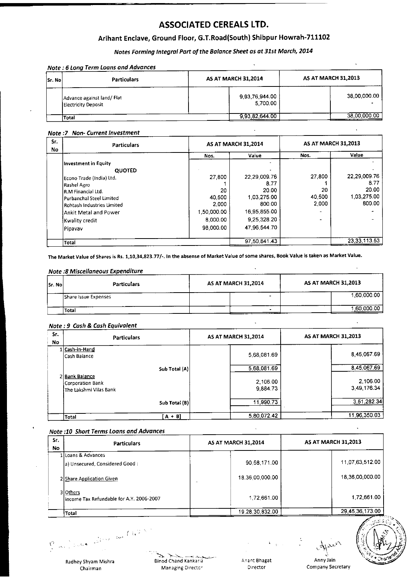# Arihant Enclave, Ground Floor, G.T.Road(South) Shibpur Howrah-711102

Notes Forming Integral Part of the Balance Sheet as at 31st March, 2014

# Note: 6 Long Term Loans and Advances

| <b>Sr. Nol</b> | <b>Particulars</b>                                       | <b>AS AT MARCH 31,2014</b> | <b>AS AT MARCH 31,2013</b> |  |
|----------------|----------------------------------------------------------|----------------------------|----------------------------|--|
|                | Advance against land/ Flat<br><b>Electricity Deposit</b> | 9,93,76,944.00<br>5.700.00 | 38.00.000.00               |  |
|                | Total                                                    | 9,93,82,644.00             | 38,00,000.00               |  |

### Note :7 Non- Current Investment

| Sr.<br>No | <b>Particulars</b>         | <b>AS AT MARCH 31,2014</b> |              | <b>AS AT MARCH 31,2013</b> |              |
|-----------|----------------------------|----------------------------|--------------|----------------------------|--------------|
|           |                            | Nos.                       | Value        | Nos.                       | Value        |
|           | Investment in Equity       |                            |              |                            |              |
|           | <b>QUOTED</b>              |                            |              |                            |              |
|           | Econo Trade (India) Ltd.   | 27.800                     | 22.29.009.76 | 27,800                     | 22.29.009.76 |
|           | Rashel Agro                |                            | 8.77         |                            | 8.77         |
|           | R.M Financial Ltd.         | 20                         | 20.00        | 20                         | 20.00        |
|           | Purbanchal Steel Limited   | 40,500                     | 1.03.275.00  | 40.500                     | 1,03,275.00  |
|           | Rohtash Industries Limited | 2.000                      | 800.00       | 2.000                      | 800.00       |
|           | Ankit Metal and Power      | 1.50.000.00                | 16,95,855.00 |                            |              |
|           | Kwality credit             | 8,000.00                   | 9.25.328.20  |                            |              |
|           | Pipavav                    | 98,000.00                  | 47.96.544.70 |                            |              |
|           | Total                      |                            | 97.50.841.43 |                            | 23.33.113.53 |

The Market Value of Shares is Rs. 1,10,34,823.77/-. In the absense of Market Value of some shares, Book Value is taken as Market Value.

### Note :8 Miscellaneous Expenditure

| lSr. Nol | <b>Particulars</b>   | <b>AS AT MARCH 31,2014</b> | <b>AS AT MARCH 31,2013</b> |  |
|----------|----------------------|----------------------------|----------------------------|--|
|          | Share Issue Expenses | $\overline{\phantom{0}}$   | 1.60.000.00                |  |
|          | 'Total               |                            | 1,60,000.00                |  |

# Note: 9 Cash & Cash Equivalent

| Sr.<br>No. | <b>Particulars</b>                                                   | <b>AS AT MARCH 31,2014</b> | <b>AS AT MARCH 31,2013</b> |  |
|------------|----------------------------------------------------------------------|----------------------------|----------------------------|--|
|            | 1   Cash-in-Hand<br>lCash Balance                                    | 5,68,081.69                | 8,45,067.69                |  |
|            | Sub Total (A)                                                        | 5,68,081.69                | 8,45,067.69                |  |
|            | 2 Bank Balance<br><b>Corporation Bank</b><br>lThe Lakshmi Vilas Bank | 2,106.00<br>9.884.73       | 2,106.00<br>3,49,176.34    |  |
|            | Sub Total (B)                                                        | 11 990.73                  | 3,51,282.34                |  |
|            | $A + B$<br>Total                                                     | 5,80,072.42                | 11,96,350.03               |  |

### Note: 10 Short Terms Loans and Advances

| Sr.<br><b>No</b> | <b>Particulars</b>                                      | AS AT MARCH 31,2014 | <b>AS AT MARCH 31,2013</b> |  |
|------------------|---------------------------------------------------------|---------------------|----------------------------|--|
|                  | 1 I Loans & Advances<br>[a] Unsecured, Considered Good: | 90,58.171.00        | 11,07,63,512.00            |  |
|                  | 2 Share Application Given                               | 18.36.00.000.00     | 18.36,00,000.00            |  |
|                  | 3 Others<br>Income Tax Refundable for A.Y. 2006-2007    | 1.72.661.00         | 1,72,661.00                |  |
|                  | İTotal                                                  | 19.28.30.832.00     | 29,45,36,173.00            |  |

Company and Clay  $\mathcal{O}_{\mathbb{Z}}$ .

Radhey Shyam Mishra Chairman

Binod Chand Kankaria Managing Director

**Anant Bhagat** Director

Anny Jain Company Secretary

 $\ddot{\phantom{a}}$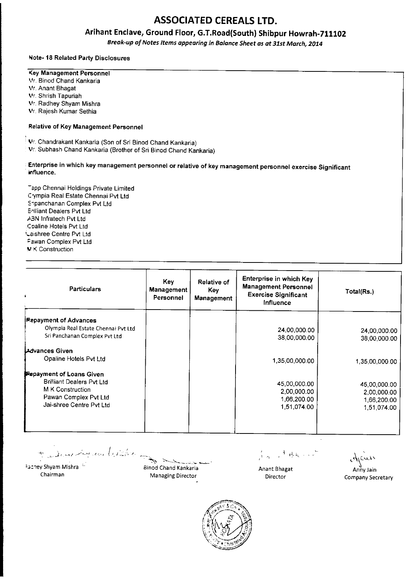# Arihant Enclave, Ground Floor, G.T.Road(South) Shibpur Howrah-711102

Break-up of Notes Items appearing in Balance Sheet as at 31st March, 2014

#### **Note-18 Related Party Disclosures**

# **Key Management Personnel**

Mr. Binod Chand Kankaria

**Mr. Anant Bhagat** 

Vr. Shrish Tapuriah

Vr. Radhey Shyam Mishra

Vr. Rajesh Kumar Sethia

# **Relative of Key Management Personnel**

Vr. Chandrakant Kankaria (Son of Sri Binod Chand Kankaria)

Vr. Subhash Chand Kankaria (Brother of Sri Binod Chand Kankaria)

# Enterprise in which key management personnel or relative of key management personnel exercise Significant influence.

Tapp Chennai Holdings Private Limited Crympia Real Estate Chennai Pvt Ltd Sripanchanan Complex Pvt Ltd **Eniliant Dealers Pvt Ltd ≁3N Infratech Pvt Ltd** Coaline Hotels Pvt Ltd Laishree Centre Pvt Ltd Fawan Complex Pvt Ltd M K Construction

| <b>Particulars</b>                  | Key<br>Management<br>Personnel | <b>Relative of</b><br>Key.<br>Management | <b>Enterprise in which Key</b><br><b>Management Personnel</b><br><b>Exercise Significant</b><br><b>Influence</b> | Total(Rs.)     |
|-------------------------------------|--------------------------------|------------------------------------------|------------------------------------------------------------------------------------------------------------------|----------------|
| <b>Repayment of Advances</b>        |                                |                                          |                                                                                                                  |                |
| Olympia Real Estate Chennai Pvt Ltd |                                |                                          | 24,00,000.00                                                                                                     | 24,00,000.00   |
| Sri Panchanan Complex Pvt Ltd       |                                |                                          | 38.00,000.00                                                                                                     | 38,00,000.00   |
| Advances Given                      |                                |                                          |                                                                                                                  |                |
| Opaline Hotels Pvt Ltd              |                                |                                          | 1,35,00,000.00                                                                                                   | 1,35,00,000.00 |
| <b>Fepayment of Loans Given</b>     |                                |                                          |                                                                                                                  |                |
| <b>Brilliant Dealers Pvt Ltd</b>    |                                |                                          | 45,00,000.00                                                                                                     | 45,00,000.00   |
| M K Construction                    |                                |                                          | 2,00,000.00                                                                                                      | 2,00,000.00    |
| Pawan Complex Pvt Ltd               |                                |                                          | 1,66,200.00                                                                                                      | 1,66,200.00    |
| Jai-shree Centre Pvt Ltd            |                                |                                          | 1.51,074.00                                                                                                      | 1,51,074.00    |
|                                     |                                |                                          |                                                                                                                  |                |

4 Denomina leistre

Fachey Shyam Mishra Chairman

**Binod Chand Kankaria** Managing Director

 $f_{\rm{max}} = 4.64$ 

Anant Bhagat Director

دظها زمداء Anny Jain Company Secretary

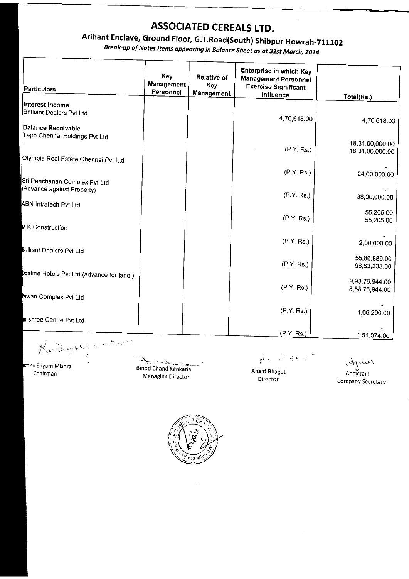# Arihant Enclave, Ground Floor, G.T.Road(South) Shibpur Howrah-711102

Break-up of Notes Items appearing in Balance Sheet as at 31st March, 2014

| Particulars                                                 | Key<br>Management<br>Personnel | Relative of<br>Key<br>Management | Enterprise in which Key<br><b>Management Personnel</b><br><b>Exercise Significant</b><br>Influence | Total(Rs.)                       |
|-------------------------------------------------------------|--------------------------------|----------------------------------|----------------------------------------------------------------------------------------------------|----------------------------------|
| Interest Income                                             |                                |                                  |                                                                                                    |                                  |
| Brilliant Dealers Pvt Ltd                                   |                                |                                  | 4,70,618.00                                                                                        |                                  |
| <b>Balance Receivable</b>                                   |                                |                                  |                                                                                                    | 4.70,618.00                      |
| Tapp Chennai Holdings Pvt Ltd                               |                                |                                  |                                                                                                    |                                  |
|                                                             |                                |                                  | (P.Y.Rs.)                                                                                          | 18,31,00,000.00                  |
| Olympia Real Estate Chennai Pvt Ltd                         |                                |                                  |                                                                                                    | 18,31,00,000.00                  |
|                                                             |                                |                                  |                                                                                                    |                                  |
|                                                             |                                |                                  | (P.Y Rs.)                                                                                          | 24,00,000.00                     |
| Sri Panchanan Complex Pvt Ltd<br>(Advance against Property) |                                |                                  |                                                                                                    |                                  |
|                                                             |                                |                                  | (P.Y. Rs.)                                                                                         | 38,00,000.00                     |
| ABN Infratech Pvt Ltd                                       |                                |                                  |                                                                                                    |                                  |
|                                                             |                                |                                  | (P.Y. Rs.)                                                                                         | 55,205.00                        |
| MK Construction                                             |                                |                                  |                                                                                                    | 55,205.00                        |
|                                                             |                                |                                  |                                                                                                    |                                  |
| Brilliant Dealers Pvt Ltd                                   |                                |                                  | (P.Y. Rs.)                                                                                         | 2,00,000.00                      |
|                                                             |                                |                                  |                                                                                                    | 55,86,889.00                     |
|                                                             |                                |                                  | (P.Y. Rs.)                                                                                         | 96,63,333.00                     |
| paline Hotels Pvt Ltd (advance for land )                   |                                |                                  |                                                                                                    |                                  |
|                                                             |                                |                                  | (P.Y. Rs.)                                                                                         | 9,93,76,944.00<br>8,58,76,944.00 |
| awan Complex Pvt Ltd                                        |                                |                                  |                                                                                                    |                                  |
|                                                             |                                |                                  | (P.Y. Rs.)                                                                                         |                                  |
| B-shree Centre Pvt Ltd                                      |                                |                                  |                                                                                                    | 1,66,200.00                      |
|                                                             |                                |                                  |                                                                                                    |                                  |
|                                                             |                                |                                  | (P.Y.Rs.)                                                                                          | 1.51.074.00                      |

May Shop Same 12 1958  $\bigtimes$ 

ey Shyam Mishra Chairman

Binod Chand Kankaria Managing Director

 $\int_{0}^{1}$  $\frac{1}{2}$   $\frac{1}{2}$   $\frac{1}{2}$   $\frac{1}{2}$   $\frac{1}{2}$ 

Anant Bhagat Director

Ajiur Anny Jain Company Secretary

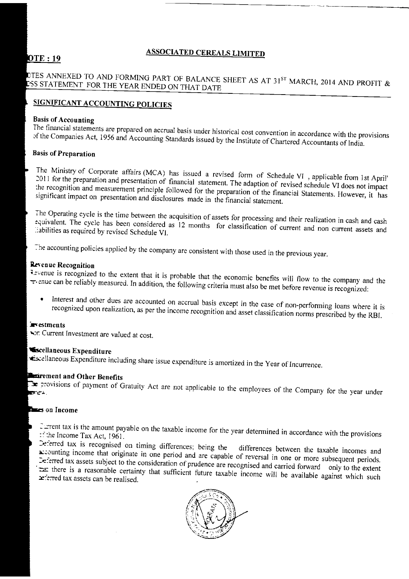# <u>ASSOCIATED CEREALS LIMITED</u>

# DTES ANNEXED TO AND FORMING PART OF BALANCE SHEET AS AT 31 $^{\rm{ST}}$  MARCH, 2014 AND PROFIT & ESS STATEMENT FOR THE YEAR ENDED ON THAT DATE

# **SIGNIFICANT ACCOUNTING POLICIES**

# **Basis of Accounting**

The financial statements are prepared on accrual basis under historical cost convention in accordance with the provisions of the Companies Act, 1956 and Accounting Standards issued by the Institute of Chartered Accountants of India.

# **Basis of Preparation**

The Ministry of Corporate affairs (MCA) has issued a revised form of Schedule VI , applicable from 1st April' 2011 for the preparation and presentation of financial statement. The adaption of revised schedule VI does not impact the recognition and measurement principle followed for the preparation of the financial Statements. However, it has significant impact on presentation and disclosures made in the financial statement.

The Operating cycle is the time between the acquisition of assets for processing and their realization in cash and cash equivalent. The cycle has been considered as 12 months for classification of current and non current assets and liabilities as required by revised Schedule VI.

The accounting policies applied by the company are consistent with those used in the previous year.

# **Revenue Recognition**

I evenue is recognized to the extent that it is probable that the economic benefits will flow to the company and the enue can be reliably measured. In addition, the following criteria must also be met before revenue is recognized:

Interest and other dues are accounted on accrual basis except in the case of non-performing loans where it is  $\bullet$ recognized upon realization, as per the income recognition and asset classification norms prescribed by the RBI.

# **Evestments**

Current Investment are valued at cost.

# **Secellaneous Expenditure**

viscellaneous Expenditure including share issue expenditure is amortized in the Year of Incurrence.

# **Reprement and Other Benefits**

provisions of payment of Gratuity Act are not applicable to the employees of the Company for the year under

# **Les on Income**

Current tax is the amount payable on the taxable income for the year determined in accordance with the provisions :  $\frac{1}{2}$  the Income Tax Act, 1961.

Deferred tax is recognised on timing differences; being the differences between the taxable incomes and recounting income that originate in one period and are capable of reversal in one or more subsequent periods. Deferred tax assets subject to the consideration of prudence are recognised and carried forward only to the extent there is a reasonable certainty that sufficient future taxable income will be available against which such referred tax assets can be realised.



# **OTE : 19**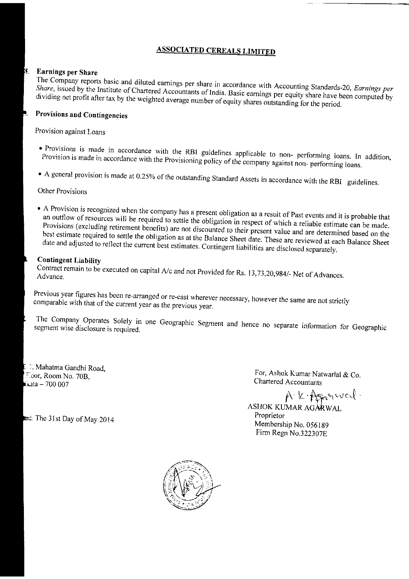# <u>ASSOCIATED CEREALS LIMITED</u>

# Earnings per Share

The Company reports basic and diluted earnings per share in accordance with Accounting Standards-20, *Earnings per*<br>Share, issued by the Institute of Chartered Accountants of India, Basic seculi Accounting Standards-20, *E* dividing net profit by the Institute of Chartered Accountants of India. Basic earnings per equity share have been rofit after tax by the weighted average number of equity shares outstanding for the period. computed by

# Provisions and Contingencies

Provision against Loans

- . Provisions is made in accordance with the RBI guidelines applicable to non- performing loans. In addition, Provision is made in accordance with the Provisioning policy of the company against non- performing loans.
- A general provision is made at 0.25% of the outstanding Standard Assets in accordance with the RBI guidelines.

Other Provisions

• A Provision is recognized when the company has a present obligation as a result of Past events and it is probable that an outflow of resources will be required to settle the obligation in respect of which a reliable estimate can be made.<br>Provisions (excluding retirement benefits) are not discounted to their number of which a reliable estim best estimate required to settle the obligation as at the Balance Sheet date. These are reviewed at each Balance Sheet Provisions (excluding retirement benefits) are not discounted to their present value and are determined based on the best estimate required to settle the obligation as at the Balance Sheet date. These are reviewed at each Balance Sheet date and adjusted to reflect the current best estimates. Contingent liabilities are disclosed separatel

# Contingent Liability

Contract remain to be executed on capital A/c and not Provided for Rs. 13,73,20,984/- Net of Advances.

comparable with Previous year figures has been re-arranged or re-cast wherever necessary, however the same are not strictly<br>comparable with that of the current year as the previous year.

The Company Operates Solely in one Geographic Segment and hence no separate information for Geographic segment wise disclosure is required

l. Mahatma Gandhi Road, .oor, Room No. 70B,  $\frac{1}{2}$ - *x*  $\frac{1}{2}$  ata  $-700007$ 

For, Ashok Kumar Natwarlal & Co.<br>Chartered Accountants

 $A \cdot \mathsf{k} \cdot \mathsf{A}$  feach wed.

ASHOK KUMAR AGARWAI Proprietor Membership No. 056189 Firm Regn No.322307E

Ed: The 31st Day of May 2014

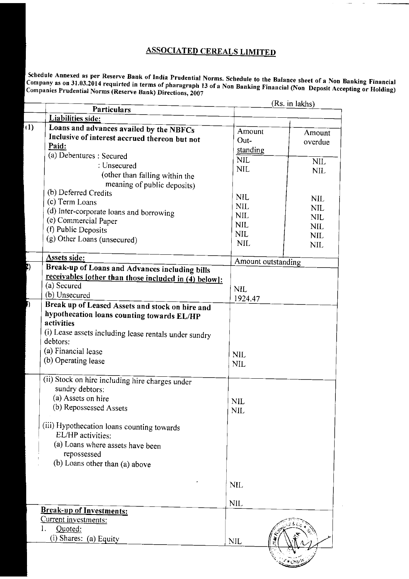# **ASSOCIATED CEREALS LIMITED**

Schedule Annexed as per Reserve Bank of India Prudential Norms. Schedule to the Balance sheet of a Non Banking Financial Company as on 31.03.2014 requirted in terms of pharagraph 13 of a Non Banking Financial (Non Deposit Accepting or Holding) Companies Prudential Norms (Reserve Bank) Directions, 2007

|     | <b>Particulars</b>                                                                                      |                          | (Rs. in lakhs) |
|-----|---------------------------------------------------------------------------------------------------------|--------------------------|----------------|
|     | Liabilities side:                                                                                       |                          |                |
| (1) | Loans and advances availed by the NBFCs                                                                 |                          |                |
|     | Inclusive of interest accrued thereon but not                                                           | Amount                   | Amount         |
|     | Paid:                                                                                                   | Out-                     | overdue        |
|     | (a) Debentures : Secured                                                                                | standing                 |                |
|     | : Unsecured                                                                                             | <b>NIL</b>               | <b>NIL</b>     |
|     |                                                                                                         | <b>NIL</b>               | <b>NIL</b>     |
|     | (other than falling within the                                                                          |                          |                |
|     | meaning of public deposits)<br>(b) Deferred Credits                                                     |                          |                |
|     | (c) Term Loans                                                                                          | <b>NIL</b>               | <b>NIL</b>     |
|     |                                                                                                         | <b>NIL</b>               | <b>NIL</b>     |
|     | (d) Inter-corporate loans and borrowing                                                                 | <b>NIL</b>               | <b>NIL</b>     |
|     | (e) Commercial Paper                                                                                    | <b>NIL</b>               | <b>NIL</b>     |
|     | (f) Public Deposits                                                                                     | <b>NIL</b>               | <b>NIL</b>     |
|     | (g) Other Loans (unsecured)                                                                             | <b>NIL</b>               | <b>NIL</b>     |
|     | <b>Assets side:</b>                                                                                     |                          |                |
|     |                                                                                                         | Amount outstanding       |                |
|     | Break-up of Loans and Advances including bills<br>receivables (other than those included in (4) below]: |                          |                |
|     | (a) Secured                                                                                             |                          |                |
|     | (b) Unsecured                                                                                           | <b>NIL</b>               |                |
|     | Break up of Leased Assets and stock on hire and                                                         | 1924.47                  |                |
|     |                                                                                                         |                          |                |
|     | hypothecation loans counting towards EL/HP<br>activities                                                |                          |                |
|     |                                                                                                         |                          |                |
|     | (i) Lease assets including lease rentals under sundry<br>debtors:                                       |                          |                |
|     | (a) Financial lease                                                                                     |                          |                |
|     | (b) Operating lease                                                                                     | <b>NIL</b>               |                |
|     |                                                                                                         | <b>NIL</b>               |                |
|     | (ii) Stock on hire including hire charges under                                                         |                          |                |
|     | sundry debtors:                                                                                         |                          |                |
|     | (a) Assets on hire                                                                                      |                          |                |
|     | (b) Repossessed Assets                                                                                  | <b>NIL</b><br><b>NIL</b> |                |
|     |                                                                                                         |                          |                |
|     | (iii) Hypothecation loans counting towards                                                              |                          |                |
|     | EL/HP activities:                                                                                       |                          |                |
|     | (a) Loans where assets have been                                                                        |                          |                |
|     | repossessed                                                                                             |                          |                |
|     | (b) Loans other than (a) above                                                                          |                          |                |
|     |                                                                                                         |                          |                |
|     |                                                                                                         | <b>NIL</b>               |                |
|     |                                                                                                         |                          |                |
|     |                                                                                                         | <b>NIL</b>               |                |
|     | <b>Break-up of Investments:</b>                                                                         |                          |                |
|     | Current investments:                                                                                    |                          |                |
|     | Quoted:                                                                                                 |                          |                |
|     | (i) Shares: (a) Equity                                                                                  | <b>NIL</b>               |                |
|     |                                                                                                         |                          |                |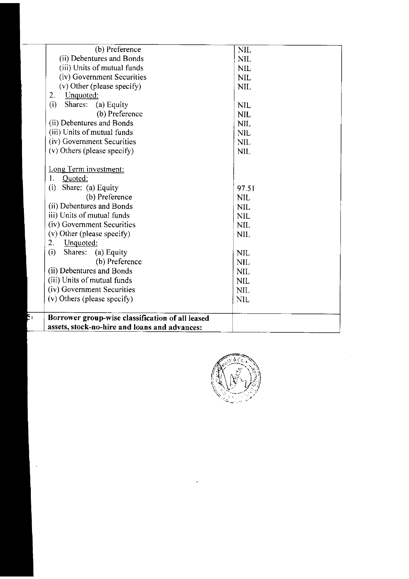|    | (b) Preference                                   | <b>NIL</b> |
|----|--------------------------------------------------|------------|
|    | (ii) Debentures and Bonds                        | <b>NIL</b> |
|    | (iii) Units of mutual funds                      | <b>NIL</b> |
|    | (iv) Government Securities                       | <b>NIL</b> |
|    | (v) Other (please specify)                       | <b>NIL</b> |
|    | 2.<br>Unquoted:                                  |            |
|    | Shares:<br>(a) Equity<br>(i)                     | <b>NIL</b> |
|    | (b) Preference                                   | <b>NIL</b> |
|    | (ii) Debentures and Bonds                        | <b>NIL</b> |
|    | (iii) Units of mutual funds                      | <b>NIL</b> |
|    | (iv) Government Securities                       | <b>NIL</b> |
|    | (v) Others (please specify)                      | <b>NIL</b> |
|    |                                                  |            |
|    | Long Term investment:                            |            |
|    | 1.<br>Quoted:                                    |            |
|    | (i)<br>Share: (a) Equity                         | 97.51      |
|    | (b) Preference                                   | <b>NIL</b> |
|    | (ii) Debentures and Bonds                        | <b>NIL</b> |
|    | iii) Units of mutual funds                       | <b>NIL</b> |
|    | (iv) Government Securities                       | <b>NIL</b> |
|    | (v) Other (please specify)                       | <b>NIL</b> |
|    | Unquoted:<br>2.                                  |            |
|    | (i)<br>Shares: (a) Equity                        | <b>NIL</b> |
|    | (b) Preference                                   | <b>NIL</b> |
|    | (ii) Debentures and Bonds                        | <b>NIL</b> |
|    | (iii) Units of mutual funds                      | <b>NIL</b> |
|    | (iv) Government Securities                       | <b>NIL</b> |
|    | (v) Others (please specify)                      | <b>NIL</b> |
|    |                                                  |            |
| Ī. | Borrower group-wise classification of all leased |            |
|    | assets, stock-no-hire and loans and advances:    |            |
|    |                                                  |            |

 $\ddot{\phantom{0}}$ 



 $\ddot{\phantom{0}}$